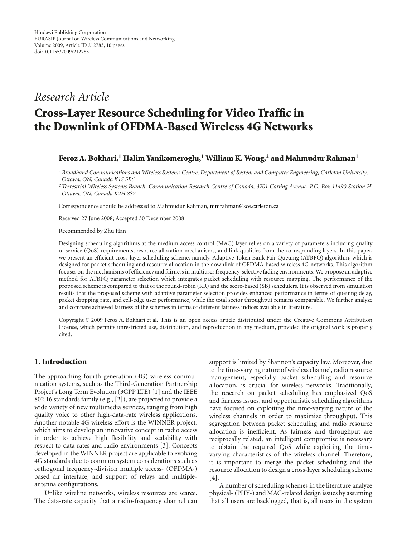## *Research Article*

# **Cross-Layer Resource Scheduling for Video Traffic in the Downlink of OFDMA-Based Wireless 4G Networks**

#### Feroz A. Bokhari,<sup>1</sup> Halim Yanikomeroglu,<sup>1</sup> William K. Wong,<sup>2</sup> and Mahmudur Rahman<sup>1</sup>

*1Broadband Communications and Wireless Systems Centre, Department of System and Computer Engineering, Carleton University, Ottawa, ON, Canada K1S 5B6*

*2Terrestrial Wireless Systems Branch, Communication Research Centre of Canada, 3701 Carling Avenue, P.O. Box 11490 Station H, Ottawa, ON, Canada K2H 8S2*

Correspondence should be addressed to Mahmudur Rahman, mmrahman@sce.carleton.ca

Received 27 June 2008; Accepted 30 December 2008

Recommended by Zhu Han

Designing scheduling algorithms at the medium access control (MAC) layer relies on a variety of parameters including quality of service (QoS) requirements, resource allocation mechanisms, and link qualities from the corresponding layers. In this paper, we present an efficient cross-layer scheduling scheme, namely, Adaptive Token Bank Fair Queuing (ATBFQ) algorithm, which is designed for packet scheduling and resource allocation in the downlink of OFDMA-based wireless 4G networks. This algorithm focuses on the mechanisms of efficiency and fairness in multiuser frequency-selective fading environments. We propose an adaptive method for ATBFQ parameter selection which integrates packet scheduling with resource mapping. The performance of the proposed scheme is compared to that of the round-robin (RR) and the score-based (SB) schedulers. It is observed from simulation results that the proposed scheme with adaptive parameter selection provides enhanced performance in terms of queuing delay, packet dropping rate, and cell-edge user performance, while the total sector throughput remains comparable. We further analyze and compare achieved fairness of the schemes in terms of different fairness indices available in literature.

Copyright © 2009 Feroz A. Bokhari et al. This is an open access article distributed under the Creative Commons Attribution License, which permits unrestricted use, distribution, and reproduction in any medium, provided the original work is properly cited.

## **1. Introduction**

The approaching fourth-generation (4G) wireless communication systems, such as the Third-Generation Partnership Project's Long Term Evolution (3GPP LTE) [1] and the IEEE 802.16 standards family (e.g., [2]), are projected to provide a wide variety of new multimedia services, ranging from high quality voice to other high-data-rate wireless applications. Another notable 4G wireless effort is the WINNER project, which aims to develop an innovative concept in radio access in order to achieve high flexibility and scalability with respect to data rates and radio environments [3]. Concepts developed in the WINNER project are applicable to evolving 4G standards due to common system considerations such as orthogonal frequency-division multiple access- (OFDMA-) based air interface, and support of relays and multipleantenna configurations.

Unlike wireline networks, wireless resources are scarce. The data-rate capacity that a radio-frequency channel can support is limited by Shannon's capacity law. Moreover, due to the time-varying nature of wireless channel, radio resource management, especially packet scheduling and resource allocation, is crucial for wireless networks. Traditionally, the research on packet scheduling has emphasized QoS and fairness issues, and opportunistic scheduling algorithms have focused on exploiting the time-varying nature of the wireless channels in order to maximize throughput. This segregation between packet scheduling and radio resource allocation is inefficient. As fairness and throughput are reciprocally related, an intelligent compromise is necessary to obtain the required QoS while exploiting the timevarying characteristics of the wireless channel. Therefore, it is important to merge the packet scheduling and the resource allocation to design a cross-layer scheduling scheme [4].

A number of scheduling schemes in the literature analyze physical- (PHY-) and MAC-related design issues by assuming that all users are backlogged, that is, all users in the system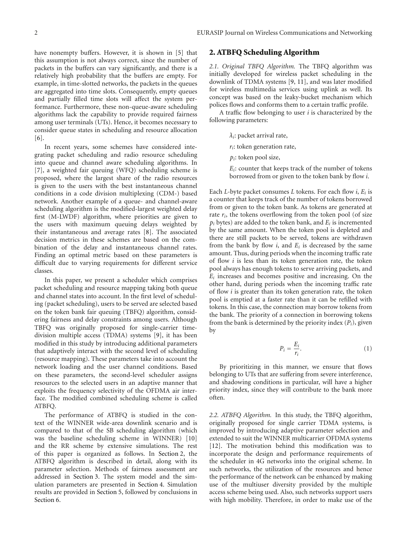have nonempty buffers. However, it is shown in [5] that this assumption is not always correct, since the number of packets in the buffers can vary significantly, and there is a relatively high probability that the buffers are empty. For example, in time-slotted networks, the packets in the queues are aggregated into time slots. Consequently, empty queues and partially filled time slots will affect the system performance. Furthermore, these non-queue-aware scheduling algorithms lack the capability to provide required fairness among user terminals (UTs). Hence, it becomes necessary to consider queue states in scheduling and resource allocation [6].

In recent years, some schemes have considered integrating packet scheduling and radio resource scheduling into queue and channel aware scheduling algorithms. In [7], a weighted fair queuing (WFQ) scheduling scheme is proposed, where the largest share of the radio resources is given to the users with the best instantaneous channel conditions in a code division multiplexing (CDM-) based network. Another example of a queue- and channel-aware scheduling algorithm is the modified-largest weighted delay first (M-LWDF) algorithm, where priorities are given to the users with maximum queuing delays weighted by their instantaneous and average rates [8]. The associated decision metrics in these schemes are based on the combination of the delay and instantaneous channel rates. Finding an optimal metric based on these parameters is difficult due to varying requirements for different service classes.

In this paper, we present a scheduler which comprises packet scheduling and resource mapping taking both queue and channel states into account. In the first level of scheduling (packet scheduling), users to be served are selected based on the token bank fair queuing (TBFQ) algorithm, considering fairness and delay constraints among users. Although TBFQ was originally proposed for single-carrier timedivision multiple access (TDMA) systems [9], it has been modified in this study by introducing additional parameters that adaptively interact with the second level of scheduling (resource mapping). These parameters take into account the network loading and the user channel conditions. Based on these parameters, the second-level scheduler assigns resources to the selected users in an adaptive manner that exploits the frequency selectivity of the OFDMA air interface. The modified combined scheduling scheme is called ATBFQ.

The performance of ATBFQ is studied in the context of the WINNER wide-area downlink scenario and is compared to that of the SB scheduling algorithm (which was the baseline scheduling scheme in WINNER) [10] and the RR scheme by extensive simulations. The rest of this paper is organized as follows. In Section 2, the ATBFQ algorithm is described in detail, along with its parameter selection. Methods of fairness assessment are addressed in Section 3. The system model and the simulation parameters are presented in Section 4. Simulation results are provided in Section 5, followed by conclusions in Section 6.

## **2. ATBFQ Scheduling Algorithm**

*2.1. Original TBFQ Algorithm.* The TBFQ algorithm was initially developed for wireless packet scheduling in the downlink of TDMA systems [9, 11], and was later modified for wireless multimedia services using uplink as well. Its concept was based on the leaky-bucket mechanism which polices flows and conforms them to a certain traffic profile.

A traffic flow belonging to user *i* is characterized by the following parameters:

*λi*: packet arrival rate,

*ri*: token generation rate,

*pi*: token pool size,

*Ei*: counter that keeps track of the number of tokens borrowed from or given to the token bank by flow *i*.

Each *L*-byte packet consumes *L* tokens. For each flow *i*, *Ei* is a counter that keeps track of the number of tokens borrowed from or given to the token bank. As tokens are generated at rate  $r_i$ , the tokens overflowing from the token pool (of size  $p_i$  bytes) are added to the token bank, and  $E_i$  is incremented by the same amount. When the token pool is depleted and there are still packets to be served, tokens are withdrawn from the bank by flow  $i$ , and  $E_i$  is decreased by the same amount. Thus, during periods when the incoming traffic rate of flow *i* is less than its token generation rate, the token pool always has enough tokens to serve arriving packets, and *Ei* increases and becomes positive and increasing. On the other hand, during periods when the incoming traffic rate of flow *i* is greater than its token generation rate, the token pool is emptied at a faster rate than it can be refilled with tokens. In this case, the connection may borrow tokens from the bank. The priority of a connection in borrowing tokens from the bank is determined by the priority index (*Pi*), given by

$$
P_i = \frac{E_i}{r_i}.\tag{1}
$$

By prioritizing in this manner, we ensure that flows belonging to UTs that are suffering from severe interference, and shadowing conditions in particular, will have a higher priority index, since they will contribute to the bank more often.

*2.2. ATBFQ Algorithm.* In this study, the TBFQ algorithm, originally proposed for single carrier TDMA systems, is improved by introducing adaptive parameter selection and extended to suit the WINNER multicarrier OFDMA systems [12]. The motivation behind this modification was to incorporate the design and performance requirements of the scheduler in 4G networks into the original scheme. In such networks, the utilization of the resources and hence the performance of the network can be enhanced by making use of the multiuser diversity provided by the multiple access scheme being used. Also, such networks support users with high mobility. Therefore, in order to make use of the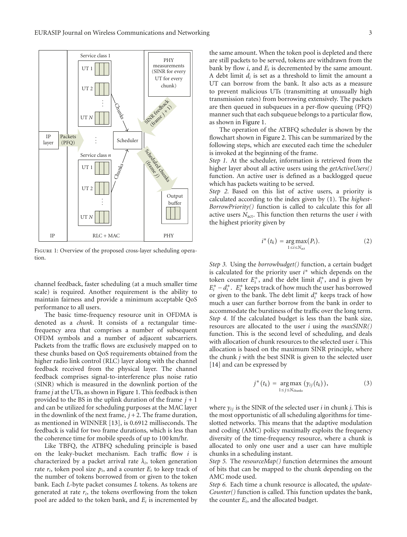

Figure 1: Overview of the proposed cross-layer scheduling operation.

channel feedback, faster scheduling (at a much smaller time scale) is required. Another requirement is the ability to maintain fairness and provide a minimum acceptable QoS performance to all users.

The basic time-frequency resource unit in OFDMA is denoted as a *chunk*. It consists of a rectangular timefrequency area that comprises a number of subsequent OFDM symbols and a number of adjacent subcarriers. Packets from the traffic flows are exclusively mapped on to these chunks based on QoS requirements obtained from the higher radio link control (RLC) layer along with the channel feedback received from the physical layer. The channel feedback comprises signal-to-interference plus noise ratio (SINR) which is measured in the downlink portion of the frame *j* at the UTs, as shown in Figure 1. This feedback is then provided to the BS in the uplink duration of the frame  $j + 1$ and can be utilized for scheduling purposes at the MAC layer in the downlink of the next frame,  $j + 2$ . The frame duration, as mentioned in WINNER [13], is 0.6912 milliseconds. The feedback is valid for two frame durations, which is less than the coherence time for mobile speeds of up to 100 km/hr.

Like TBFQ, the ATBFQ scheduling principle is based on the leaky-bucket mechanism. Each traffic flow *i* is characterized by a packet arrival rate  $\lambda_i$ , token generation rate  $r_i$ , token pool size  $p_i$ , and a counter  $E_i$  to keep track of the number of tokens borrowed from or given to the token bank. Each *L*-byte packet consumes *L* tokens. As tokens are generated at rate *ri*, the tokens overflowing from the token pool are added to the token bank, and *Ei* is incremented by

the same amount. When the token pool is depleted and there are still packets to be served, tokens are withdrawn from the bank by flow *i*, and *Ei* is decremented by the same amount. A debt limit *di* is set as a threshold to limit the amount a UT can borrow from the bank. It also acts as a measure to prevent malicious UTs (transmitting at unusually high transmission rates) from borrowing extensively. The packets are then queued in subqueues in a per-flow queuing (PFQ) manner such that each subqueue belongs to a particular flow,

The operation of the ATBFQ scheduler is shown by the flowchart shown in Figure 2. This can be summarized by the following steps, which are executed each time the scheduler is invoked at the beginning of the frame.

as shown in Figure 1.

*Step 1.* At the scheduler, information is retrieved from the higher layer about all active users using the *getActiveUsers()* function. An active user is defined as a backlogged queue which has packets waiting to be served.

*Step 2.* Based on this list of active users, a priority is calculated according to the index given by (1). The *highest-BorrowPriority()* function is called to calculate this for all active users  $N_{\text{act}}$ . This function then returns the user *i* with the highest priority given by

$$
i^*(t_k) = \underset{1 \le i \le N_{\text{act}}}{\arg \max} (P_i). \tag{2}
$$

*Step 3.* Using the *borrowbudget()* function, a certain budget is calculated for the priority user *i* <sup>∗</sup> which depends on the token counter  $E_i^*$ , and the debt limit  $d_i^*$ , and is given by  $E_i^* - d_i^*$ .  $E_i^*$  keeps track of how much the user has borrowed or given to the bank. The debt limit *d*<sup>∗</sup> *<sup>i</sup>* keeps track of how much a user can further borrow from the bank in order to accommodate the burstiness of the traffic over the long term. *Step 4.* If the calculated budget is less than the bank size, resources are allocated to the user *i* using the *maxSINR()* function. This is the second level of scheduling, and deals with allocation of chunk resources to the selected user *i*. This allocation is based on the maximum SINR principle, where the chunk *j* with the best SINR is given to the selected user [14] and can be expressed by

$$
j^*(t_k) = \underset{1 \leq j \leq N_{\text{chunks}}}{\arg \max} (\gamma_{ij}(t_k)), \qquad (3)
$$

where  $\gamma_{ij}$  is the SINR of the selected user *i* in chunk *j*. This is the most opportunistic of all scheduling algorithms for timeslotted networks. This means that the adaptive modulation and coding (AMC) policy maximally exploits the frequency diversity of the time-frequency resource, where a chunk is allocated to only one user and a user can have multiple chunks in a scheduling instant.

*Step 5.* The *resourceMap()* function determines the amount of bits that can be mapped to the chunk depending on the AMC mode used.

*Step 6.* Each time a chunk resource is allocated, the *update-Counter()* function is called. This function updates the bank, the counter *Ei*, and the allocated budget.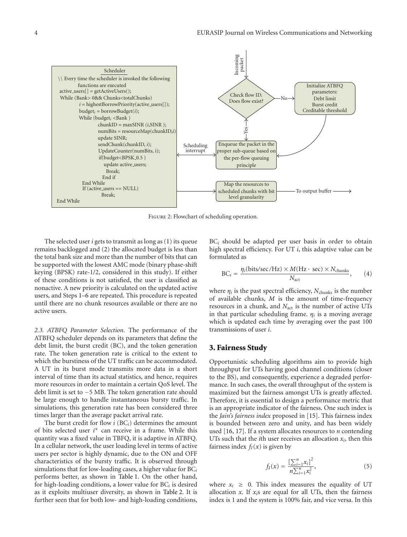

Figure 2: Flowchart of scheduling operation.

The selected user *i* gets to transmit as long as (1) its queue remains backlogged and (2) the allocated budget is less than the total bank size and more than the number of bits that can be supported with the lowest AMC mode (binary phase-shift keying (BPSK) rate-1/2, considered in this study). If either of these conditions is not satisfied, the user is classified as nonactive. A new priority is calculated on the updated active users, and Steps 1–6 are repeated. This procedure is repeated until there are no chunk resources available or there are no active users.

*2.3. ATBFQ Parameter Selection.* The performance of the ATBFQ scheduler depends on its parameters that define the debt limit, the burst credit (BC), and the token generation rate. The token generation rate is critical to the extent to which the burstiness of the UT traffic can be accommodated. A UT in its burst mode transmits more data in a short interval of time than its actual statistics, and hence, requires more resources in order to maintain a certain QoS level. The debt limit is set to −5 MB. The token generation rate should be large enough to handle instantaneous bursty traffic. In simulations, this generation rate has been considered three times larger than the average packet arrival rate.

The burst credit for flow *i* (BC*i*) determines the amount of bits selected user *i* <sup>∗</sup> can receive in a frame. While this quantity was a fixed value in TBFQ, it is adaptive in ATBFQ. In a cellular network, the user loading level in terms of active users per sector is highly dynamic, due to the ON and OFF characteristics of the bursty traffic. It is observed through simulations that for low-loading cases, a higher value for BC*<sup>i</sup>* performs better, as shown in Table 1. On the other hand, for high-loading conditions, a lower value for BC*<sup>i</sup>* is desired as it exploits multiuser diversity, as shown in Table 2. It is further seen that for both low- and high-loading conditions,

BC*<sup>i</sup>* should be adapted per user basis in order to obtain high spectral efficiency. For UT *i*, this adaptive value can be formulated as

$$
BC_{i} = \frac{\eta_{i}(bits/sec/Hz) \times M(Hz \cdot sec) \times N_{\text{chunks}}}{N_{\text{act}}},
$$
 (4)

where  $\eta_i$  is the past spectral efficiency,  $N_{\text{chunks}}$  is the number of available chunks, *M* is the amount of time-frequency resources in a chunk, and *N*<sub>act</sub> is the number of active UTs in that particular scheduling frame.  $\eta_i$  is a moving average which is updated each time by averaging over the past 100 transmissions of user *i*.

#### **3. Fairness Study**

Opportunistic scheduling algorithms aim to provide high throughput for UTs having good channel conditions (closer to the BS), and consequently, experience a degraded performance. In such cases, the overall throughput of the system is maximized but the fairness amongst UTs is greatly affected. Therefore, it is essential to design a performance metric that is an appropriate indicator of the fairness. One such index is the *Jain's fairness index* proposed in [15]. This fairness index is bounded between zero and unity, and has been widely used [16, 17]. If a system allocates resources to *n* contending UTs such that the *i*th user receives an allocation  $x_i$ , then this fairness index  $f_I(x)$  is given by

$$
f_I(x) = \frac{\left[\sum_{i=1}^n x_i\right]^2}{n \sum_{i=1}^n x_i^2},\tag{5}
$$

where  $x_i \geq 0$ . This index measures the equality of UT allocation  $x$ . If  $x_i$ s are equal for all UTs, then the fairness index is 1 and the system is 100% fair, and vice versa. In this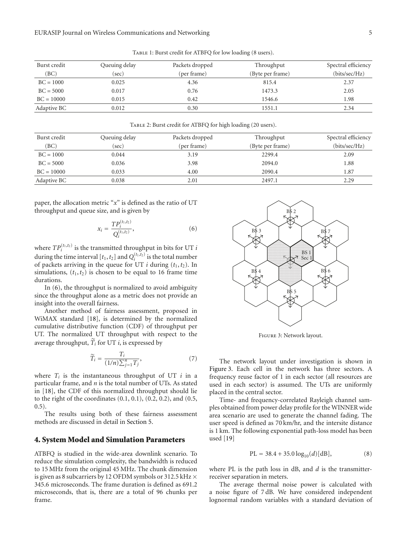Table 1: Burst credit for ATBFQ for low loading (8 users).

| Burst credit | Queuing delay | Packets dropped | Throughput       | Spectral efficiency |
|--------------|---------------|-----------------|------------------|---------------------|
| (BC)         | (sec)         | (per frame)     | (Byte per frame) | (bits/sec/Hz)       |
| $BC = 1000$  | 0.025         | 4.36            | 815.4            | 2.37                |
| $BC = 5000$  | 0.017         | 0.76            | 1473.3           | 2.05                |
| $BC = 10000$ | 0.015         | 0.42            | 1546.6           | 1.98                |
| Adaptive BC  | 0.012         | 0.30            | 1551.1           | 2.34                |

Table 2: Burst credit for ATBFQ for high loading (20 users).

| Burst credit | Queuing delay | Packets dropped | Throughput       | Spectral efficiency |
|--------------|---------------|-----------------|------------------|---------------------|
| (BC)         | sec)          | (per frame)     | (Byte per frame) | (bits/sec/Hz)       |
| $BC = 1000$  | 0.044         | 3.19            | 2299.4           | 2.09                |
| $BC = 5000$  | 0.036         | 3.98            | 2094.0           | 1.88                |
| $BC = 10000$ | 0.033         | 4.00            | 2090.4           | 1.87                |
| Adaptive BC  | 0.038         | 2.01            | 2497.1           | 2.29                |

paper, the allocation metric "*x*" is defined as the ratio of UT throughput and queue size, and is given by

$$
x_i = \frac{TP_i^{(t_1, t_2)}}{Q_i^{(t_1, t_2)}},\tag{6}
$$

where  $TP_i^{(t_1,t_2)}$  is the transmitted throughput in bits for UT  $i$ during the time interval  $[t_1, t_2]$  and  $Q_i^{(t_1, t_2)}$  is the total number of packets arriving in the queue for UT  $i$  during  $(t_1, t_2)$ . In simulations,  $(t_1, t_2)$  is chosen to be equal to 16 frame time durations.

In (6), the throughput is normalized to avoid ambiguity since the throughput alone as a metric does not provide an insight into the overall fairness.

Another method of fairness assessment, proposed in WiMAX standard [18], is determined by the normalized cumulative distributive function (CDF) of throughput per UT. The normalized UT throughput with respect to the average throughput,  $\widetilde{T}_i$  for UT *i*, is expressed by

$$
\widetilde{T}_i = \frac{T_i}{(1/n)\sum_{j=1}^n T_j},\tag{7}
$$

where  $T_i$  is the instantaneous throughput of UT  $i$  in a particular frame, and *n* is the total number of UTs. As stated in [18], the CDF of this normalized throughput should lie to the right of the coordinates (0.1, 0.1), (0.2, 0.2), and (0.5, 0.5).

The results using both of these fairness assessment methods are discussed in detail in Section 5.

#### **4. System Model and Simulation Parameters**

ATBFQ is studied in the wide-area downlink scenario. To reduce the simulation complexity, the bandwidth is reduced to 15 MHz from the original 45 MHz. The chunk dimension is given as 8 subcarriers by 12 OFDM symbols or 312.5 kHz  $\times$ 345.6 microseconds. The frame duration is defined as 691.2 microseconds, that is, there are a total of 96 chunks per frame.



Figure 3: Network layout.

The network layout under investigation is shown in Figure 3. Each cell in the network has three sectors. A frequency reuse factor of 1 in each sector (all resources are used in each sector) is assumed. The UTs are uniformly placed in the central sector.

Time- and frequency-correlated Rayleigh channel samples obtained from power delay profile for the WINNER wide area scenario are used to generate the channel fading. The user speed is defined as 70 km/hr, and the intersite distance is 1 km. The following exponential path-loss model has been used [19]

$$
PL = 38.4 + 35.0 \log_{10}(d) [\text{dB}], \tag{8}
$$

where PL is the path loss in dB, and *d* is the transmitterreceiver separation in meters.

The average thermal noise power is calculated with a noise figure of 7 dB. We have considered independent lognormal random variables with a standard deviation of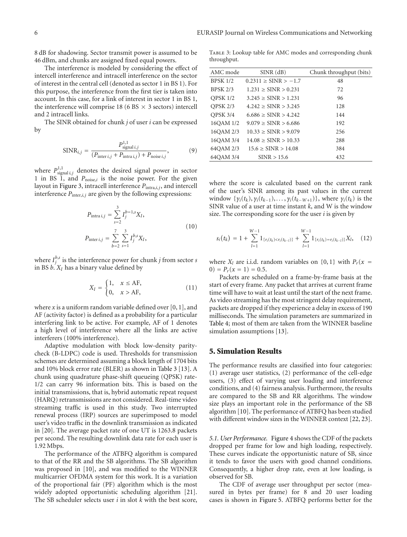8 dB for shadowing. Sector transmit power is assumed to be 46 dBm, and chunks are assigned fixed equal powers.

The interference is modeled by considering the effect of intercell interference and intracell interference on the sector of interest in the central cell (denoted as sector 1 in BS 1). For this purpose, the interference from the first tier is taken into account. In this case, for a link of interest in sector 1 in BS 1, the interference will comprise 18 (6 BS  $\times$  3 sectors) intercell and 2 intracell links.

The SINR obtained for chunk *j* of user *i* can be expressed by

$$
\text{SINR}_{i,j} = \frac{P_{\text{signal}\,i,j}^{1,1}}{(P_{\text{inter}\,i,j} + P_{\text{intra}\,i,j}) + P_{\text{noise}\,i,j}},\tag{9}
$$

where  $P_{\text{signal},j}^{1,1}$  denotes the desired signal power in sector 1 in BS 1, and *P*<sub>noise,*i*</sub> is the noise power. For the given layout in Figure 3, intracell interference *P*intra,*i*,*j*, and intercell interference  $P_{\text{inter},i,j}$  are given by the following expressions:

$$
P_{\text{intra }i,j} = \sum_{s=2}^{3} I_j^{b=1,s} X_I,
$$
  
\n
$$
P_{\text{inter }i,j} = \sum_{b=2}^{7} \sum_{s=1}^{3} I_j^{b,s} X_I,
$$
\n(10)

where  $I_j^{b,s}$  is the interference power for chunk *j* from sector *s* in BS *b*. *XI* has a binary value defined by

$$
X_I = \begin{cases} 1, & x \le AF, \\ 0, & x > AF, \end{cases} \tag{11}
$$

where  $x$  is a uniform random variable defined over  $[0, 1]$ , and AF (activity factor) is defined as a probability for a particular interfering link to be active. For example, AF of 1 denotes a high level of interference where all the links are active interferers (100% interference).

Adaptive modulation with block low-density paritycheck (B-LDPC) code is used. Thresholds for transmission schemes are determined assuming a block length of 1704 bits and 10% block error rate (BLER) as shown in Table 3 [13]. A chunk using quadrature phase-shift queueing (QPSK) rate-1/2 can carry 96 information bits. This is based on the initial transmissions, that is, hybrid automatic repeat request (HARQ) retransmissions are not considered. Real-time video streaming traffic is used in this study. Two interrupted renewal process (IRP) sources are superimposed to model user's video traffic in the downlink transmission as indicated in [20]. The average packet rate of one UT is 1263.8 packets per second. The resulting downlink data rate for each user is 1.92 Mbps.

The performance of the ATBFQ algorithm is compared to that of the RR and the SB algorithms. The SB algorithm was proposed in [10], and was modified to the WINNER multicarrier OFDMA system for this work. It is a variation of the proportional fair (PF) algorithm which is the most widely adopted opportunistic scheduling algorithm [21]. The SB scheduler selects user *i* in slot *k* with the best score,

Table 3: Lookup table for AMC modes and corresponding chunk throughput.

| AMC mode        | $SINR$ $(dB)$                    | Chunk throughput (bits) |
|-----------------|----------------------------------|-------------------------|
| <b>BPSK 1/2</b> | $0.2311 \geq \text{SINR} > -1.7$ | 48                      |
| BPSK 2/3        | $1.231 > \text{SINR} > 0.231$    | 72                      |
| OPSK 1/2        | $3.245 \geq$ SINR $> 1.231$      | 96                      |
| OPSK 2/3        | $4.242 \geq \text{SINR} > 3.245$ | 128                     |
| OPSK 3/4        | $6.686 \geq$ SINR $> 4.242$      | 144                     |
| 16QAM 1/2       | $9.079 \geq \text{SINR} > 6.686$ | 192                     |
| 16QAM 2/3       | $10.33 > \text{SINR} > 9.079$    | 256                     |
| 16QAM 3/4       | $14.08 \geq \text{SINR} > 10.33$ | 288                     |
| 64QAM 2/3       | $15.6 \geq$ SINR $> 14.08$       | 384                     |
| 64QAM 3/4       | SINR > 15.6                      | 432                     |

where the score is calculated based on the current rank of the user's SINR among its past values in the current window  $\{\gamma_i(t_k), \gamma_i(t_{k-1}), \ldots, \gamma_i(t_{k-W+1})\}$ , where  $\gamma_i(t_k)$  is the SINR value of a user at time instant *k*, and W is the window size. The corresponding score for the user *i* is given by

$$
s_i(t_k) = 1 + \sum_{l=1}^{W-1} 1_{\{r_i(t_k) < r_i(t_{k-l})\}} + \sum_{l=1}^{W-1} 1_{\{r_i(t_k) = r_i(t_{k-l})\}} X_l, \quad (12)
$$

where  $X_l$  are i.i.d. random variables on {0, 1} with  $P_r(x)$  $0) = P_r(x = 1) = 0.5.$ 

Packets are scheduled on a frame-by-frame basis at the start of every frame. Any packet that arrives at current frame time will have to wait at least until the start of the next frame. As video streaming has the most stringent delay requirement, packets are dropped if they experience a delay in excess of 190 milliseconds. The simulation parameters are summarized in Table 4; most of them are taken from the WINNER baseline simulation assumptions [13].

#### **5. Simulation Results**

The performance results are classified into four categories: (1) average user statistics, (2) performance of the cell-edge users, (3) effect of varying user loading and interference conditions, and (4) fairness analysis. Furthermore, the results are compared to the SB and RR algorithms. The window size plays an important role in the performance of the SB algorithm [10]. The performance of ATBFQ has been studied with different window sizes in the WINNER context [22, 23].

*5.1. User Performance.* Figure 4 shows the CDF of the packets dropped per frame for low and high loading, respectively. These curves indicate the opportunistic nature of SB, since it tends to favor the users with good channel conditions. Consequently, a higher drop rate, even at low loading, is observed for SB.

The CDF of average user throughput per sector (measured in bytes per frame) for 8 and 20 user loading cases is shown in Figure 5. ATBFQ performs better for the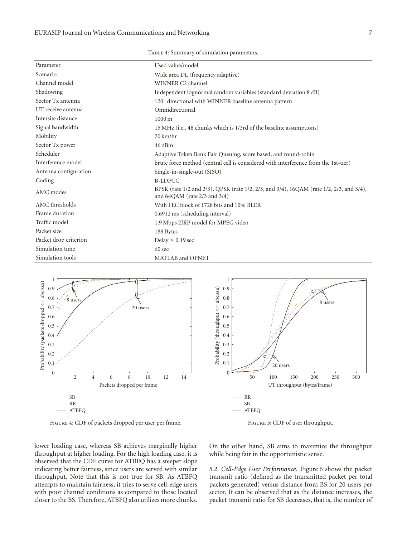| Parameter             | Used value/model                                                                                                               |  |
|-----------------------|--------------------------------------------------------------------------------------------------------------------------------|--|
| Scenario              | Wide area DL (frequency adaptive)                                                                                              |  |
| Channel model         | WINNER C2 channel                                                                                                              |  |
| Shadowing             | Independent lognormal random variables (standard deviation 8 dB)                                                               |  |
| Sector Tx antenna     | 120° directional with WINNER baseline antenna pattern                                                                          |  |
| UT receive antenna    | Omnidirectional                                                                                                                |  |
| Intersite distance    | 1000 <sub>m</sub>                                                                                                              |  |
| Signal bandwidth      | 15 MHz (i.e., 48 chunks which is 1/3rd of the baseline assumptions)                                                            |  |
| Mobility              | 70 km/hr                                                                                                                       |  |
| Sector Tx power       | 46 dBm                                                                                                                         |  |
| Scheduler             | Adaptive Token Bank Fair Queuing, score based, and round-robin                                                                 |  |
| Interference model    | brute force method (central cell is considered with interference from the 1st-tier)                                            |  |
| Antenna configuration | Single-in-single-out (SISO)                                                                                                    |  |
| Coding                | <b>B-LDPCC</b>                                                                                                                 |  |
| AMC modes             | BPSK (rate 1/2 and 2/3), QPSK (rate 1/2, 2/3, and 3/4), 16QAM (rate 1/2, 2/3, and 3/4),<br>and $64QAM$ (rate $2/3$ and $3/4$ ) |  |
| AMC thresholds        | With FEC block of 1728 bits and 10% BLER                                                                                       |  |
| Frame duration        | 0.6912 ms (scheduling interval)                                                                                                |  |
| Traffic model         | 1.9 Mbps 2IRP model for MPEG video                                                                                             |  |
| Packet size           | 188 Bytes                                                                                                                      |  |
| Packet drop criterion | Delay $\geq 0.19$ sec                                                                                                          |  |
| Simulation time       | $60$ sec                                                                                                                       |  |
| Simulation tools      | MATLAB and OPNET                                                                                                               |  |

TABLE 4: Summary of simulation parameters.



Figure 4: CDF of packets dropped per user per frame.



Figure 5: CDF of user throughput.

lower loading case, whereas SB achieves marginally higher throughput at higher loading. For the high loading case, it is observed that the CDF curve for ATBFQ has a steeper slope indicating better fairness, since users are served with similar throughput. Note that this is not true for SB. As ATBFQ attempts to maintain fairness, it tries to serve cell-edge users with poor channel conditions as compared to those located closer to the BS. Therefore, ATBFQ also utilizes more chunks.

On the other hand, SB aims to maximize the throughput while being fair in the opportunistic sense.

*5.2. Cell-Edge User Performance.* Figure 6 shows the packet transmit ratio (defined as the transmitted packet per total packets generated) versus distance from BS for 20 users per sector. It can be observed that as the distance increases, the packet transmit ratio for SB decreases, that is, the number of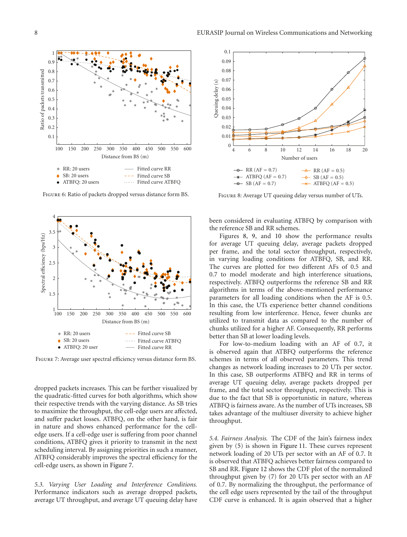

Figure 6: Ratio of packets dropped versus distance form BS.



Figure 7: Average user spectral efficiency versus distance form BS.

dropped packets increases. This can be further visualized by the quadratic-fitted curves for both algorithms, which show their respective trends with the varying distance. As SB tries to maximize the throughput, the cell-edge users are affected, and suffer packet losses. ATBFQ, on the other hand, is fair in nature and shows enhanced performance for the celledge users. If a cell-edge user is suffering from poor channel conditions, ATBFQ gives it priority to transmit in the next scheduling interval. By assigning priorities in such a manner, ATBFQ considerably improves the spectral efficiency for the cell-edge users, as shown in Figure 7.

*5.3. Varying User Loading and Interference Conditions.* Performance indicators such as average dropped packets, average UT throughput, and average UT queuing delay have



Figure 8: Average UT queuing delay versus number of UTs.

been considered in evaluating ATBFQ by comparison with the reference SB and RR schemes.

Figures 8, 9, and 10 show the performance results for average UT queuing delay, average packets dropped per frame, and the total sector throughput, respectively, in varying loading conditions for ATBFQ, SB, and RR. The curves are plotted for two different AFs of 0.5 and 0.7 to model moderate and high interference situations, respectively. ATBFQ outperforms the reference SB and RR algorithms in terms of the above-mentioned performance parameters for all loading conditions when the AF is 0.5. In this case, the UTs experience better channel conditions resulting from low interference. Hence, fewer chunks are utilized to transmit data as compared to the number of chunks utilized for a higher AF. Consequently, RR performs better than SB at lower loading levels.

For low-to-medium loading with an AF of 0.7, it is observed again that ATBFQ outperforms the reference schemes in terms of all observed parameters. This trend changes as network loading increases to 20 UTs per sector. In this case, SB outperforms ATBFQ and RR in terms of average UT queuing delay, average packets dropped per frame, and the total sector throughput, respectively. This is due to the fact that SB is opportunistic in nature, whereas ATBFQ is fairness aware. As the number of UTs increases, SB takes advantage of the multiuser diversity to achieve higher throughput.

*5.4. Fairness Analysis.* The CDF of the Jain's fairness index given by (5) is shown in Figure 11. These curves represent network loading of 20 UTs per sector with an AF of 0.7. It is observed that ATBFQ achieves better fairness compared to SB and RR. Figure 12 shows the CDF plot of the normalized throughput given by (7) for 20 UTs per sector with an AF of 0.7. By normalizing the throughput, the performance of the cell edge users represented by the tail of the throughput CDF curve is enhanced. It is again observed that a higher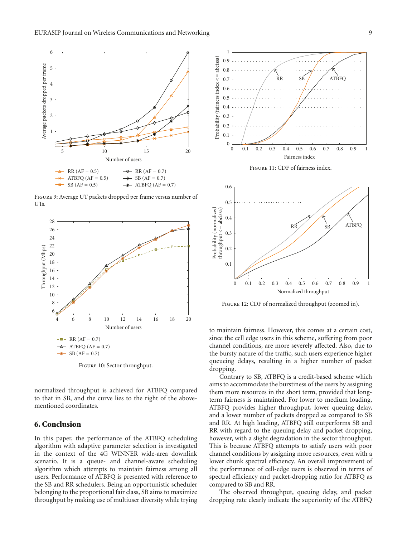

Figure 9: Average UT packets dropped per frame versus number of UTs.



Figure 10: Sector throughput.

normalized throughput is achieved for ATBFQ compared to that in SB, and the curve lies to the right of the abovementioned coordinates.

## **6. Conclusion**

In this paper, the performance of the ATBFQ scheduling algorithm with adaptive parameter selection is investigated in the context of the 4G WINNER wide-area downlink scenario. It is a queue- and channel-aware scheduling algorithm which attempts to maintain fairness among all users. Performance of ATBFQ is presented with reference to the SB and RR schedulers. Being an opportunistic scheduler belonging to the proportional fair class, SB aims to maximize throughput by making use of multiuser diversity while trying



Figure 11: CDF of fairness index.



Figure 12: CDF of normalized throughput (zoomed in).

to maintain fairness. However, this comes at a certain cost, since the cell edge users in this scheme, suffering from poor channel conditions, are more severely affected. Also, due to the bursty nature of the traffic, such users experience higher queueing delays, resulting in a higher number of packet dropping.

Contrary to SB, ATBFQ is a credit-based scheme which aims to accommodate the burstiness of the users by assigning them more resources in the short term, provided that longterm fairness is maintained. For lower to medium loading, ATBFQ provides higher throughput, lower queuing delay, and a lower number of packets dropped as compared to SB and RR. At high loading, ATBFQ still outperforms SB and RR with regard to the queuing delay and packet dropping, however, with a slight degradation in the sector throughput. This is because ATBFQ attempts to satisfy users with poor channel conditions by assigning more resources, even with a lower chunk spectral efficiency. An overall improvement of the performance of cell-edge users is observed in terms of spectral efficiency and packet-dropping ratio for ATBFQ as compared to SB and RR.

The observed throughput, queuing delay, and packet dropping rate clearly indicate the superiority of the ATBFQ